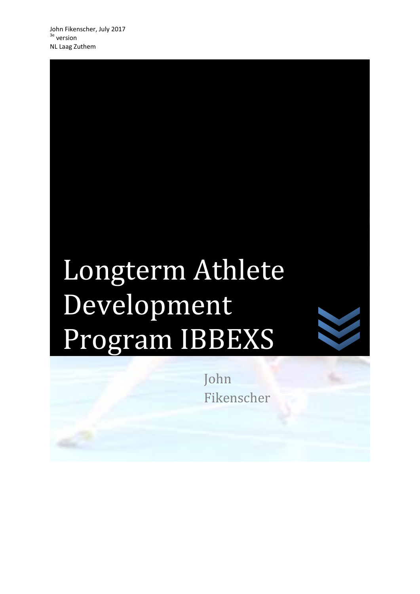# Longterm Athlete Development Program IBBEXS

John Fikenscher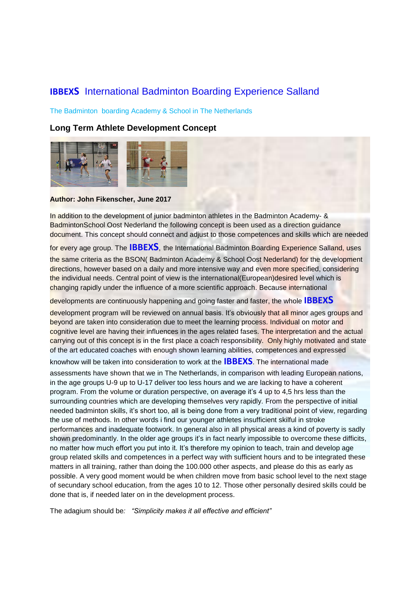### **IBBEXS** International Badminton Boarding Experience Salland

The Badminton boarding Academy & School in The Netherlands

#### **Long Term Athlete Development Concept**



**Author: John Fikenscher, June 2017**

In addition to the development of junior badminton athletes in the Badminton Academy- & BadmintonSchool Oost Nederland the following concept is been used as a direction guidance document. This concept should connect and adjust to those competences and skills which are needed

for every age group. The **IBBEXS**, the International Badminton Boarding Experience Salland, uses the same criteria as the BSON( Badminton Academy & School Oost Nederland) for the development directions, however based on a daily and more intensive way and even more specified, considering the individual needs. Central point of view is the international(European)desired level which is changing rapidly under the influence of a more scientific approach. Because international

developments are continuously happening and going faster and faster, the whole **IBBEXS**

development program will be reviewed on annual basis. It's obviously that all minor ages groups and beyond are taken into consideration due to meet the learning process. Individual on motor and cognitive level are having their influences in the ages related fases. The interpretation and the actual carrying out of this concept is in the first place a coach responsibility. Only highly motivated and state of the art educated coaches with enough shown learning abilities, competences and expressed

knowhow will be taken into consideration to work at the **IBBEXS**. The international made assessments have shown that we in The Netherlands, in comparison with leading European nations, in the age groups U-9 up to U-17 deliver too less hours and we are lacking to have a coherent program. From the volume or duration perspective, on average it's 4 up to 4,5 hrs less than the surrounding countries which are developing themselves very rapidly. From the perspective of initial needed badminton skills, it's short too, all is being done from a very traditional point of view, regarding the use of methods. In other words i find our younger athletes insufficient skilful in stroke performances and inadequate footwork. In general also in all physical areas a kind of poverty is sadly shown predominantly. In the older age groups it's in fact nearly impossible to overcome these difficits, no matter how much effort you put into it. It's therefore my opinion to teach, train and develop age group related skills and competences in a perfect way with sufficient hours and to be integrated these matters in all training, rather than doing the 100.000 other aspects, and please do this as early as possible. A very good moment would be when children move from basic school level to the next stage of secundary school education, from the ages 10 to 12. Those other personally desired skills could be done that is, if needed later on in the development process.

The adagium should be*: "Simplicity makes it all effective and efficient"*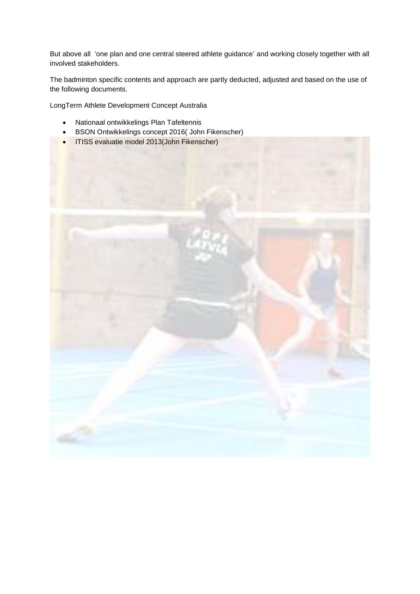But above all 'one plan and one central steered athlete guidance' and working closely together with all involved stakeholders.

The badminton specific contents and approach are partly deducted, adjusted and based on the use of the following documents.

LongTerm Athlete Development Concept Australia

- Nationaal ontwikkelings Plan Tafeltennis
- BSON Ontwikkelings concept 2016( John Fikenscher)
- **ITISS evaluatie model 2013(John Fikenscher)**

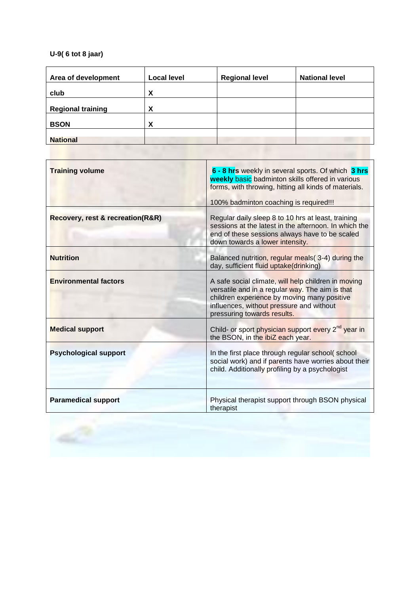## **U-9( 6 tot 8 jaar)**

| Area of development      | <b>Local level</b> | <b>Regional level</b> | <b>National level</b> |
|--------------------------|--------------------|-----------------------|-----------------------|
| club                     | X                  |                       |                       |
| <b>Regional training</b> | v<br>Λ             |                       |                       |
| <b>BSON</b>              | X                  |                       |                       |
| <b>National</b>          |                    |                       |                       |

| <b>Training volume</b>           | 6 - 8 hrs weekly in several sports. Of which 3 hrs<br>weekly basic badminton skills offered in various<br>forms, with throwing, hitting all kinds of materials.<br>100% badminton coaching is required!!!                        |
|----------------------------------|----------------------------------------------------------------------------------------------------------------------------------------------------------------------------------------------------------------------------------|
| Recovery, rest & recreation(R&R) | Regular daily sleep 8 to 10 hrs at least, training<br>sessions at the latest in the afternoon. In which the<br>end of these sessions always have to be scaled<br>down towards a lower intensity.                                 |
| <b>Nutrition</b>                 | Balanced nutrition, regular meals (3-4) during the<br>day, sufficient fluid uptake(drinking)                                                                                                                                     |
| <b>Environmental factors</b>     | A safe social climate, will help children in moving<br>versatile and in a regular way. The aim is that<br>children experience by moving many positive<br>influences, without pressure and without<br>pressuring towards results. |
| <b>Medical support</b>           | Child- or sport physician support every 2 <sup>nd</sup> year in<br>the BSON, in the ibiZ each year.                                                                                                                              |
| <b>Psychological support</b>     | In the first place through regular school(school<br>social work) and if parents have worries about their<br>child. Additionally profiling by a psychologist                                                                      |
| <b>Paramedical support</b>       | Physical therapist support through BSON physical<br>therapist                                                                                                                                                                    |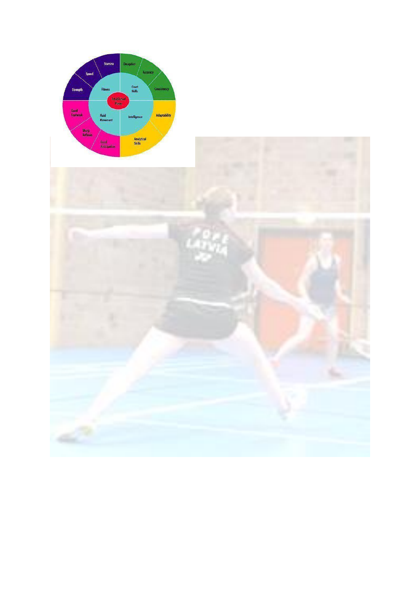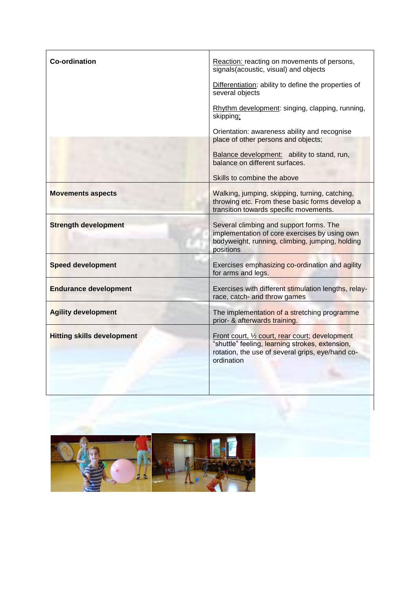| <b>Co-ordination</b>              | Reaction: reacting on movements of persons,<br>signals(acoustic, visual) and objects                                                                                 |
|-----------------------------------|----------------------------------------------------------------------------------------------------------------------------------------------------------------------|
|                                   | Differentiation: ability to define the properties of<br>several objects                                                                                              |
|                                   | Rhythm development: singing, clapping, running,<br>skipping:                                                                                                         |
|                                   | Orientation: awareness ability and recognise<br>place of other persons and objects;                                                                                  |
|                                   | Balance development: ability to stand, run,<br>balance on different surfaces.                                                                                        |
|                                   | Skills to combine the above                                                                                                                                          |
| <b>Movements aspects</b>          | Walking, jumping, skipping, turning, catching,<br>throwing etc. From these basic forms develop a<br>transition towards specific movements.                           |
| <b>Strength development</b>       | Several climbing and support forms. The<br>implementation of core exercises by using own<br>bodyweight, running, climbing, jumping, holding<br>positions             |
| <b>Speed development</b>          | Exercises emphasizing co-ordination and agility<br>for arms and legs.                                                                                                |
| <b>Endurance development</b>      | Exercises with different stimulation lengths, relay-<br>race, catch- and throw games                                                                                 |
| <b>Agility development</b>        | The implementation of a stretching programme<br>prior- & afterwards training.                                                                                        |
| <b>Hitting skills development</b> | Front court, 1/2 court, rear court; development<br>"shuttle" feeling, learning strokes, extension,<br>rotation, the use of several grips, eye/hand co-<br>ordination |
|                                   |                                                                                                                                                                      |

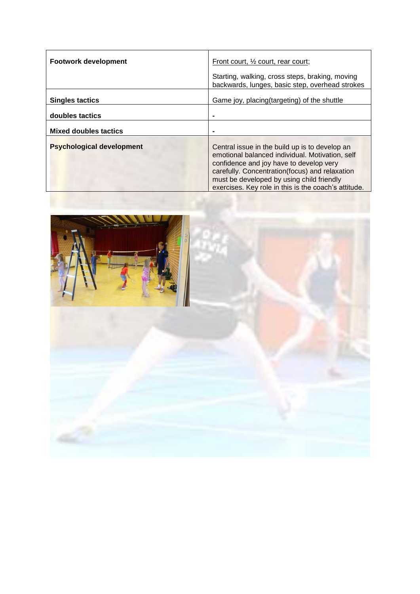| <b>Footwork development</b>      | Front court, 1/2 court, rear court;                                                                                                                                                                                                                                                                 |
|----------------------------------|-----------------------------------------------------------------------------------------------------------------------------------------------------------------------------------------------------------------------------------------------------------------------------------------------------|
|                                  | Starting, walking, cross steps, braking, moving<br>backwards, lunges, basic step, overhead strokes                                                                                                                                                                                                  |
| <b>Singles tactics</b>           | Game joy, placing (targeting) of the shuttle                                                                                                                                                                                                                                                        |
| doubles tactics                  | $\blacksquare$                                                                                                                                                                                                                                                                                      |
| <b>Mixed doubles tactics</b>     | $\blacksquare$                                                                                                                                                                                                                                                                                      |
| <b>Psychological development</b> | Central issue in the build up is to develop an<br>emotional balanced individual. Motivation, self<br>confidence and joy have to develop very<br>carefully. Concentration(focus) and relaxation<br>must be developed by using child friendly<br>exercises. Key role in this is the coach's attitude. |

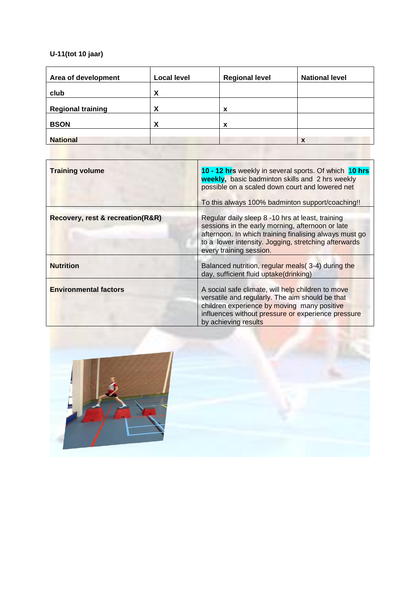## **U-11(tot 10 jaar)**

| Area of development      | <b>Local level</b> | <b>Regional level</b> | <b>National level</b>     |
|--------------------------|--------------------|-----------------------|---------------------------|
| club                     | x                  |                       |                           |
| <b>Regional training</b> | v                  | x                     |                           |
| <b>BSON</b>              | v                  | X                     |                           |
| <b>National</b>          |                    |                       | $\boldsymbol{\mathsf{x}}$ |

| <b>Training volume</b>           | 10 - 12 hrs weekly in several sports. Of which 10 hrs<br>weekly, basic badminton skills and 2 hrs weekly<br>possible on a scaled down court and lowered net<br>To this always 100% badminton support/coaching!!                                   |
|----------------------------------|---------------------------------------------------------------------------------------------------------------------------------------------------------------------------------------------------------------------------------------------------|
| Recovery, rest & recreation(R&R) | Regular daily sleep 8 -10 hrs at least, training<br>sessions in the early morning, afternoon or late<br>afternoon. In which training finalising always must go<br>to a lower intensity. Jogging, stretching afterwards<br>every training session. |
| <b>Nutrition</b>                 | Balanced nutrition, regular meals (3-4) during the<br>day, sufficient fluid uptake(drinking)                                                                                                                                                      |
| <b>Environmental factors</b>     | A social safe climate, will help children to move<br>versatile and regularly. The aim should be that<br>children experience by moving many positive<br>influences without pressure or experience pressure<br>by achieving results                 |

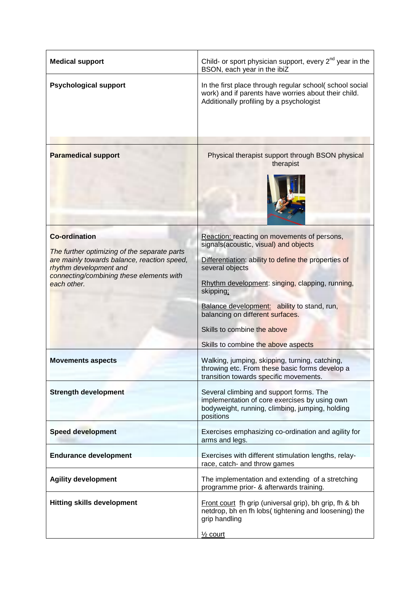| <b>Medical support</b>                                                                                                                                                                                   | Child- or sport physician support, every $2^{nd}$ year in the<br>BSON, each year in the ibiZ                                                                |
|----------------------------------------------------------------------------------------------------------------------------------------------------------------------------------------------------------|-------------------------------------------------------------------------------------------------------------------------------------------------------------|
| <b>Psychological support</b>                                                                                                                                                                             | In the first place through regular school(school social<br>work) and if parents have worries about their child.<br>Additionally profiling by a psychologist |
| <b>Paramedical support</b>                                                                                                                                                                               | Physical therapist support through BSON physical<br>therapist                                                                                               |
|                                                                                                                                                                                                          |                                                                                                                                                             |
| <b>Co-ordination</b><br>The further optimizing of the separate parts<br>are mainly towards balance, reaction speed,<br>rhythm development and<br>connecting/combining these elements with<br>each other. | Reaction: reacting on movements of persons,<br>signals(acoustic, visual) and objects                                                                        |
|                                                                                                                                                                                                          | Differentiation: ability to define the properties of<br>several objects                                                                                     |
|                                                                                                                                                                                                          | Rhythm development: singing, clapping, running,<br>skipping;                                                                                                |
|                                                                                                                                                                                                          | Balance development: ability to stand, run,<br>balancing on different surfaces.                                                                             |
|                                                                                                                                                                                                          | Skills to combine the above                                                                                                                                 |
|                                                                                                                                                                                                          | Skills to combine the above aspects                                                                                                                         |
| <b>Movements aspects</b>                                                                                                                                                                                 | Walking, jumping, skipping, turning, catching,<br>throwing etc. From these basic forms develop a<br>transition towards specific movements.                  |
| <b>Strength development</b>                                                                                                                                                                              | Several climbing and support forms. The<br>implementation of core exercises by using own<br>bodyweight, running, climbing, jumping, holding<br>positions    |
| <b>Speed development</b>                                                                                                                                                                                 | Exercises emphasizing co-ordination and agility for<br>arms and legs.                                                                                       |
| <b>Endurance development</b>                                                                                                                                                                             | Exercises with different stimulation lengths, relay-<br>race, catch- and throw games                                                                        |
| <b>Agility development</b>                                                                                                                                                                               | The implementation and extending of a stretching<br>programme prior- & afterwards training.                                                                 |
| <b>Hitting skills development</b>                                                                                                                                                                        | Front court fh grip (universal grip), bh grip, fh & bh<br>netdrop, bh en fh lobs(tightening and loosening) the<br>grip handling                             |
|                                                                                                                                                                                                          | $\frac{1}{2}$ court                                                                                                                                         |